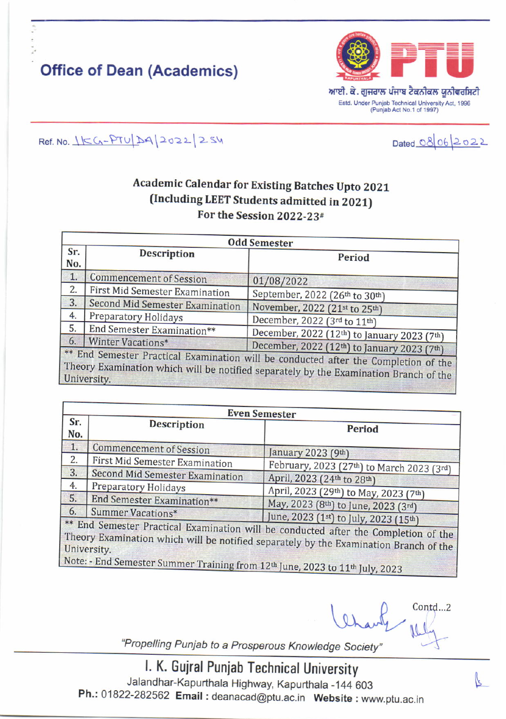## **Office of Dean (Academics)**



Ref. No. 15G-PTU DA 2022 254

## Dated 08 06 2022

## **Academic Calendar for Existing Batches Upto 2021** (Including LEET Students admitted in 2021) For the Session 2022-23#

| <b>Odd Semester</b>                                                                                                                                                                         |                                 |                                             |  |  |
|---------------------------------------------------------------------------------------------------------------------------------------------------------------------------------------------|---------------------------------|---------------------------------------------|--|--|
| Sr.<br>No.                                                                                                                                                                                  | <b>Description</b>              | Period                                      |  |  |
| 1.                                                                                                                                                                                          | <b>Commencement of Session</b>  | 01/08/2022                                  |  |  |
| 2.                                                                                                                                                                                          | First Mid Semester Examination  | September, 2022 (26th to 30th)              |  |  |
| 3.                                                                                                                                                                                          | Second Mid Semester Examination | November, 2022 (21st to 25th)               |  |  |
| 4.                                                                                                                                                                                          | <b>Preparatory Holidays</b>     | December, 2022 (3rd to 11th)                |  |  |
| 5.                                                                                                                                                                                          | End Semester Examination**      | December, 2022 (12th) to January 2023 (7th) |  |  |
| 6.                                                                                                                                                                                          | Winter Vacations*               | December, 2022 (12th) to January 2023 (7th) |  |  |
| ** End Semester Practical Examination will be conducted after the Completion of the<br>Theory Examination which will be notified separately by the Examination Branch of the<br>University. |                                 |                                             |  |  |

| <b>Even Semester</b> |                                        |                                                                                                                                                                              |  |  |
|----------------------|----------------------------------------|------------------------------------------------------------------------------------------------------------------------------------------------------------------------------|--|--|
| Sr.<br>No.           | <b>Description</b>                     | <b>Period</b>                                                                                                                                                                |  |  |
| $\overline{1}$ .     | <b>Commencement of Session</b>         | January 2023 (9th)                                                                                                                                                           |  |  |
| 2.                   | First Mid Semester Examination         | February, 2023 (27th) to March 2023 (3rd)                                                                                                                                    |  |  |
| 3.                   | <b>Second Mid Semester Examination</b> | April, 2023 (24th to 28th)                                                                                                                                                   |  |  |
| 4.                   | Preparatory Holidays                   | April, 2023 (29th) to May, 2023 (7th)                                                                                                                                        |  |  |
| 5.                   | End Semester Examination**             | May, 2023 (8th) to June, 2023 (3rd)                                                                                                                                          |  |  |
| 6.                   | Summer Vacations*                      | June, 2023 (1st) to July, 2023 (15th)                                                                                                                                        |  |  |
|                      | University.                            | ** End Semester Practical Examination will be conducted after the Completion of the<br>Theory Examination which will be notified separately by the Examination Branch of the |  |  |

Semester Summer Training from 12th June, 2023 to 11th July, 2023

Contd...2

"Propelling Punjab to a Prosperous Knowledge Society"

I. K. Gujral Punjab Technical University Jalandhar-Kapurthala Highway, Kapurthala -144 603 Ph.: 01822-282562 Email: deanacad@ptu.ac.in Website: www.ptu.ac.in